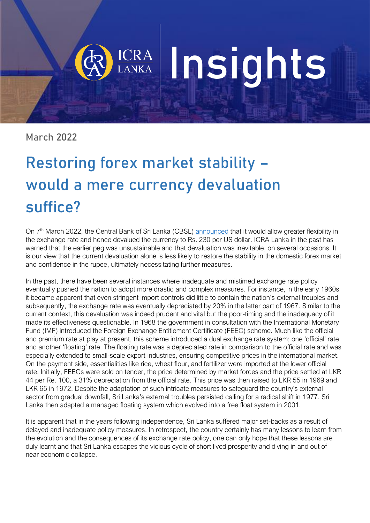# Insights

March 2022

## Restoring forex market stability – would a mere currency devaluation suffice?

On 7<sup>th</sup> March 2022, the Central Bank of Sri Lanka (CBSL) [announced](https://www.cbsl.gov.lk/en/cbsl-policy-package) that it would allow greater flexibility in the exchange rate and hence devalued the currency to Rs. 230 per US dollar. ICRA Lanka in the past has warned that the earlier peg was unsustainable and that devaluation was inevitable, on several occasions. It is our view that the current devaluation alone is less likely to restore the stability in the domestic forex market and confidence in the rupee, ultimately necessitating further measures.

In the past, there have been several instances where inadequate and mistimed exchange rate policy eventually pushed the nation to adopt more drastic and complex measures. For instance, in the early 1960s it became apparent that even stringent import controls did little to contain the nation's external troubles and subsequently, the exchange rate was eventually depreciated by 20% in the latter part of 1967. Similar to the current context, this devaluation was indeed prudent and vital but the poor-timing and the inadequacy of it made its effectiveness questionable. In 1968 the government in consultation with the International Monetary Fund (IMF) introduced the Foreign Exchange Entitlement Certificate (FEEC) scheme. Much like the official and premium rate at play at present, this scheme introduced a dual exchange rate system; one 'official' rate and another 'floating' rate. The floating rate was a depreciated rate in comparison to the official rate and was especially extended to small-scale export industries, ensuring competitive prices in the international market. On the payment side, essentialities like rice, wheat flour, and fertilizer were imported at the lower official rate. Initially, FEECs were sold on tender, the price determined by market forces and the price settled at LKR 44 per Re. 100, a 31% depreciation from the official rate. This price was then raised to LKR 55 in 1969 and LKR 65 in 1972. Despite the adaptation of such intricate measures to safeguard the country's external sector from gradual downfall, Sri Lanka's external troubles persisted calling for a radical shift in 1977. Sri Lanka then adapted a managed floating system which evolved into a free float system in 2001.

It is apparent that in the years following independence, Sri Lanka suffered major set-backs as a result of delayed and inadequate policy measures. In retrospect, the country certainly has many lessons to learn from the evolution and the consequences of its exchange rate policy, one can only hope that these lessons are duly learnt and that Sri Lanka escapes the vicious cycle of short lived prosperity and diving in and out of near economic collapse.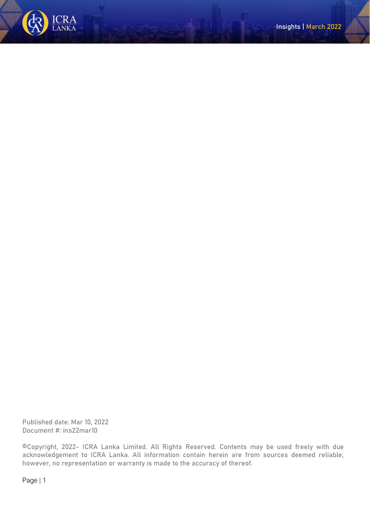

Published date: Mar 10, 2022 Document #: ins22mar10

©Copyright, 2022- ICRA Lanka Limited. All Rights Reserved. Contents may be used freely with due acknowledgement to ICRA Lanka. All information contain herein are from sources deemed reliable; however, no representation or warranty is made to the accuracy of thereof.

Page | 1